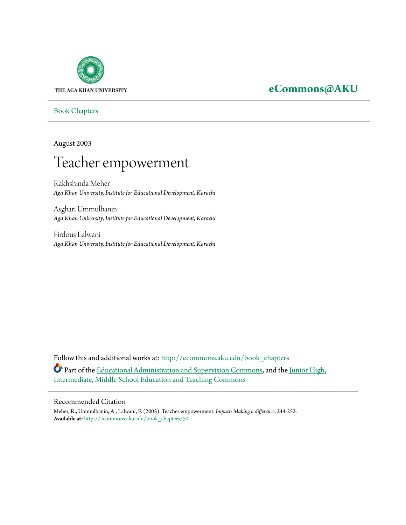

## **[eCommons@AKU](http://ecommons.aku.edu?utm_source=ecommons.aku.edu%2Fbook_chapters%2F50&utm_medium=PDF&utm_campaign=PDFCoverPages)**

[Book Chapters](http://ecommons.aku.edu/book_chapters?utm_source=ecommons.aku.edu%2Fbook_chapters%2F50&utm_medium=PDF&utm_campaign=PDFCoverPages)

August 2003

# Teacher empowerment

Rakhshinda Meher *Aga Khan University, Institute for Educational Development, Karachi*

Asghari Ummulbanin *Aga Khan University, Institute for Educational Development, Karachi*

Firdous Lalwani *Aga Khan University, Institute for Educational Development, Karachi*

Follow this and additional works at: [http://ecommons.aku.edu/book\\_chapters](http://ecommons.aku.edu/book_chapters?utm_source=ecommons.aku.edu%2Fbook_chapters%2F50&utm_medium=PDF&utm_campaign=PDFCoverPages) Part of the [Educational Administration and Supervision Commons,](http://network.bepress.com/hgg/discipline/787?utm_source=ecommons.aku.edu%2Fbook_chapters%2F50&utm_medium=PDF&utm_campaign=PDFCoverPages) and the [Junior High,](http://network.bepress.com/hgg/discipline/807?utm_source=ecommons.aku.edu%2Fbook_chapters%2F50&utm_medium=PDF&utm_campaign=PDFCoverPages) [Intermediate, Middle School Education and Teaching Commons](http://network.bepress.com/hgg/discipline/807?utm_source=ecommons.aku.edu%2Fbook_chapters%2F50&utm_medium=PDF&utm_campaign=PDFCoverPages)

#### Recommended Citation

Meher, R., Ummulbanin, A., Lalwani, F. (2003). Teacher empowerment. *Impact: Making a difference*, 244-252. **Available at:** [http://ecommons.aku.edu/book\\_chapters/50](http://ecommons.aku.edu/book_chapters/50)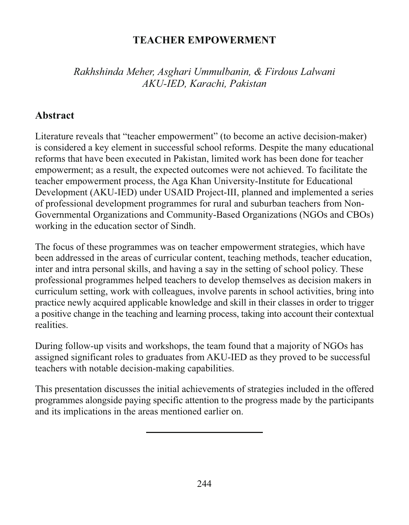#### **TEACHER EMPOWERMENT**

Rakhshinda Meher, Asghari Ummulbanin, & Firdous Lalwani AKU-IED, Karachi, Pakistan

#### **Abstract**

Literature reveals that "teacher empowerment" (to become an active decision-maker) is considered a key element in successful school reforms. Despite the many educational reforms that have been executed in Pakistan, limited work has been done for teacher empowerment; as a result, the expected outcomes were not achieved. To facilitate the teacher empowerment process, the Aga Khan University-Institute for Educational Development (AKU-IED) under USAID Project-III, planned and implemented a series of professional development programmes for rural and suburban teachers from Non-Governmental Organizations and Community-Based Organizations (NGOs and CBOs) working in the education sector of Sindh.

The focus of these programmes was on teacher empowerment strategies, which have been addressed in the areas of curricular content, teaching methods, teacher education, inter and intra personal skills, and having a say in the setting of school policy. These professional programmes helped teachers to develop themselves as decision makers in curriculum setting, work with colleagues, involve parents in school activities, bring into practice newly acquired applicable knowledge and skill in their classes in order to trigger a positive change in the teaching and learning process, taking into account their contextual realities.

During follow-up visits and workshops, the team found that a majority of NGOs has assigned significant roles to graduates from AKU-IED as they proved to be successful teachers with notable decision-making capabilities.

This presentation discusses the initial achievements of strategies included in the offered programmes alongside paying specific attention to the progress made by the participants and its implications in the areas mentioned earlier on.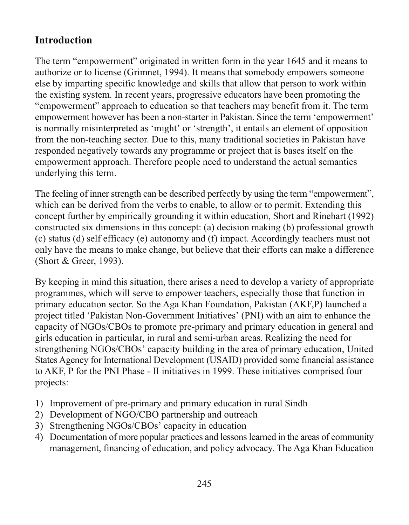## **Introduction**

The term "empowerment" originated in written form in the year 1645 and it means to authorize or to license (Grimnet, 1994). It means that somebody empowers someone else by imparting specific knowledge and skills that allow that person to work within the existing system. In recent years, progressive educators have been promoting the "empowerment" approach to education so that teachers may benefit from it. The term empowerment however has been a non-starter in Pakistan. Since the term 'empowerment' is normally misinterpreted as 'might' or 'strength', it entails an element of opposition from the non-teaching sector. Due to this, many traditional societies in Pakistan have responded negatively towards any programme or project that is bases itself on the empowerment approach. Therefore people need to understand the actual semantics underlying this term.

The feeling of inner strength can be described perfectly by using the term "empowerment", which can be derived from the verbs to enable, to allow or to permit. Extending this concept further by empirically grounding it within education, Short and Rinehart (1992) constructed six dimensions in this concept: (a) decision making (b) professional growth (c) status (d) self efficacy (e) autonomy and (f) impact. Accordingly teachers must not only have the means to make change, but believe that their efforts can make a difference (Short & Greer, 1993).

By keeping in mind this situation, there arises a need to develop a variety of appropriate programmes, which will serve to empower teachers, especially those that function in primary education sector. So the Aga Khan Foundation, Pakistan (AKF,P) launched a project titled 'Pakistan Non-Government Initiatives' (PNI) with an aim to enhance the capacity of NGOs/CBOs to promote pre-primary and primary education in general and girls education in particular, in rural and semi-urban areas. Realizing the need for strengthening NGOs/CBOs' capacity building in the area of primary education, United States Agency for International Development (USAID) provided some financial assistance to AKF, P for the PNI Phase - II initiatives in 1999. These initiatives comprised four projects:

- 1) Improvement of pre-primary and primary education in rural Sindh
- 2) Development of NGO/CBO partnership and outreach
- 3) Strengthening NGOs/CBOs' capacity in education
- 4) Documentation of more popular practices and lessons learned in the areas of community management, financing of education, and policy advocacy. The Aga Khan Education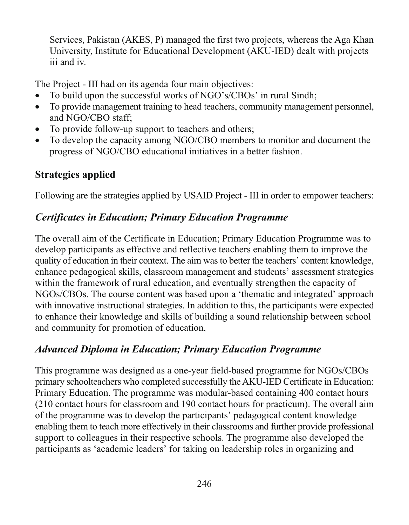Services, Pakistan (AKES, P) managed the first two projects, whereas the Aga Khan University, Institute for Educational Development (AKU-IED) dealt with projects iii and iv.

The Project - III had on its agenda four main objectives:

- To build upon the successful works of NGO's/CBOs' in rural Sindh;  $\bullet$
- To provide management training to head teachers, community management personnel,  $\bullet$ and NGO/CBO staff;
- To provide follow-up support to teachers and others;
- To develop the capacity among NGO/CBO members to monitor and document the  $\bullet$ progress of NGO/CBO educational initiatives in a better fashion.

## **Strategies applied**

Following are the strategies applied by USAID Project - III in order to empower teachers:

## **Certificates in Education; Primary Education Programme**

The overall aim of the Certificate in Education; Primary Education Programme was to develop participants as effective and reflective teachers enabling them to improve the quality of education in their context. The aim was to better the teachers' content knowledge, enhance pedagogical skills, classroom management and students' assessment strategies within the framework of rural education, and eventually strengthen the capacity of NGOs/CBOs. The course content was based upon a 'thematic and integrated' approach with innovative instructional strategies. In addition to this, the participants were expected to enhance their knowledge and skills of building a sound relationship between school and community for promotion of education,

## **Advanced Diploma in Education; Primary Education Programme**

This programme was designed as a one-year field-based programme for NGOs/CBOs primary schoolteachers who completed successfully the AKU-IED Certificate in Education: Primary Education. The programme was modular-based containing 400 contact hours (210 contact hours for classroom and 190 contact hours for practicum). The overall aim of the programme was to develop the participants' pedagogical content knowledge enabling them to teach more effectively in their classrooms and further provide professional support to colleagues in their respective schools. The programme also developed the participants as 'academic leaders' for taking on leadership roles in organizing and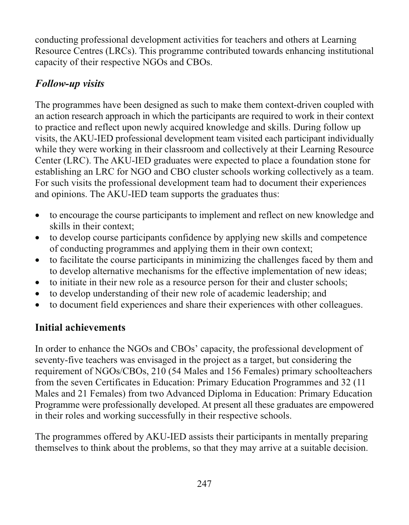conducting professional development activities for teachers and others at Learning Resource Centres (LRCs). This programme contributed towards enhancing institutional capacity of their respective NGOs and CBOs.

## **Follow-up visits**

The programmes have been designed as such to make them context-driven coupled with an action research approach in which the participants are required to work in their context to practice and reflect upon newly acquired knowledge and skills. During follow up visits, the AKU-IED professional development team visited each participant individually while they were working in their classroom and collectively at their Learning Resource Center (LRC). The AKU-IED graduates were expected to place a foundation stone for establishing an LRC for NGO and CBO cluster schools working collectively as a team. For such visits the professional development team had to document their experiences and opinions. The AKU-IED team supports the graduates thus:

- to encourage the course participants to implement and reflect on new knowledge and  $\bullet$ skills in their context:
- to develop course participants confidence by applying new skills and competence  $\bullet$ of conducting programmes and applying them in their own context;
- to facilitate the course participants in minimizing the challenges faced by them and  $\bullet$ to develop alternative mechanisms for the effective implementation of new ideas;
- to initiate in their new role as a resource person for their and cluster schools;  $\bullet$
- to develop understanding of their new role of academic leadership; and  $\bullet$
- to document field experiences and share their experiences with other colleagues.  $\bullet$

## **Initial achievements**

In order to enhance the NGOs and CBOs' capacity, the professional development of seventy-five teachers was envisaged in the project as a target, but considering the requirement of NGOs/CBOs, 210 (54 Males and 156 Females) primary schoolteachers from the seven Certificates in Education: Primary Education Programmes and 32 (11) Males and 21 Females) from two Advanced Diploma in Education: Primary Education Programme were professionally developed. At present all these graduates are empowered in their roles and working successfully in their respective schools.

The programmes offered by AKU-IED assists their participants in mentally preparing themselves to think about the problems, so that they may arrive at a suitable decision.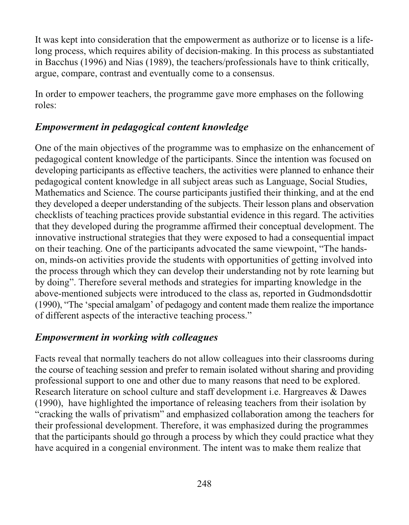It was kept into consideration that the empowerment as authorize or to license is a lifelong process, which requires ability of decision-making. In this process as substantiated in Bacchus (1996) and Nias (1989), the teachers/professionals have to think critically, argue, compare, contrast and eventually come to a consensus.

In order to empower teachers, the programme gave more emphases on the following roles:

## Empowerment in pedagogical content knowledge

One of the main objectives of the programme was to emphasize on the enhancement of pedagogical content knowledge of the participants. Since the intention was focused on developing participants as effective teachers, the activities were planned to enhance their pedagogical content knowledge in all subject areas such as Language, Social Studies, Mathematics and Science. The course participants justified their thinking, and at the end they developed a deeper understanding of the subjects. Their lesson plans and observation checklists of teaching practices provide substantial evidence in this regard. The activities that they developed during the programme affirmed their conceptual development. The innovative instructional strategies that they were exposed to had a consequential impact on their teaching. One of the participants advocated the same viewpoint, "The handson, minds-on activities provide the students with opportunities of getting involved into the process through which they can develop their understanding not by rote learning but by doing". Therefore several methods and strategies for imparting knowledge in the above-mentioned subjects were introduced to the class as, reported in Gudmondsdottir (1990), "The 'special amalgam' of pedagogy and content made them realize the importance of different aspects of the interactive teaching process."

#### **Empowerment in working with colleagues**

Facts reveal that normally teachers do not allow colleagues into their classrooms during the course of teaching session and prefer to remain isolated without sharing and providing professional support to one and other due to many reasons that need to be explored. Research literature on school culture and staff development i.e. Hargreaves & Dawes (1990), have highlighted the importance of releasing teachers from their isolation by "cracking the walls of privatism" and emphasized collaboration among the teachers for their professional development. Therefore, it was emphasized during the programmes that the participants should go through a process by which they could practice what they have acquired in a congenial environment. The intent was to make them realize that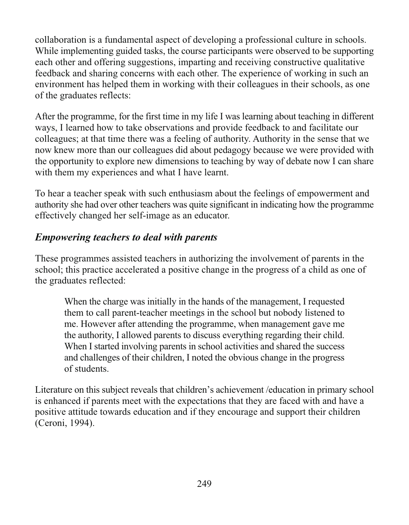collaboration is a fundamental aspect of developing a professional culture in schools. While implementing guided tasks, the course participants were observed to be supporting each other and offering suggestions, imparting and receiving constructive qualitative feedback and sharing concerns with each other. The experience of working in such an environment has helped them in working with their colleagues in their schools, as one of the graduates reflects:

After the programme, for the first time in my life I was learning about teaching in different ways, I learned how to take observations and provide feedback to and facilitate our colleagues; at that time there was a feeling of authority. Authority in the sense that we now knew more than our colleagues did about pedagogy because we were provided with the opportunity to explore new dimensions to teaching by way of debate now I can share with them my experiences and what I have learnt.

To hear a teacher speak with such enthusiasm about the feelings of empowerment and authority she had over other teachers was quite significant in indicating how the programme effectively changed her self-image as an educator.

## **Empowering teachers to deal with parents**

These programmes assisted teachers in authorizing the involvement of parents in the school; this practice accelerated a positive change in the progress of a child as one of the graduates reflected:

When the charge was initially in the hands of the management, I requested them to call parent-teacher meetings in the school but nobody listened to me. However after attending the programme, when management gave me the authority, I allowed parents to discuss everything regarding their child. When I started involving parents in school activities and shared the success and challenges of their children, I noted the obvious change in the progress of students.

Literature on this subject reveals that children's achievement /education in primary school is enhanced if parents meet with the expectations that they are faced with and have a positive attitude towards education and if they encourage and support their children (Ceroni, 1994).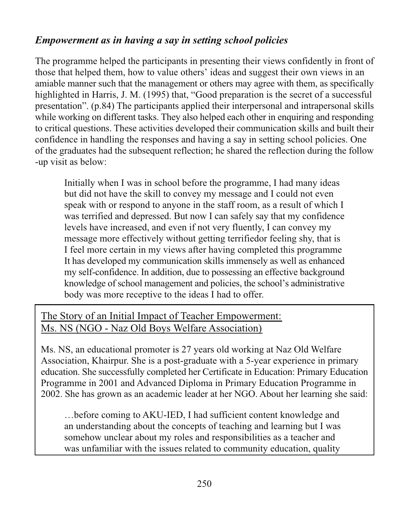## Empowerment as in having a say in setting school policies

The programme helped the participants in presenting their views confidently in front of those that helped them, how to value others' ideas and suggest their own views in an amiable manner such that the management or others may agree with them, as specifically highlighted in Harris, J. M. (1995) that, "Good preparation is the secret of a successful presentation". (p.84) The participants applied their interpersonal and intrapersonal skills while working on different tasks. They also helped each other in enquiring and responding to critical questions. These activities developed their communication skills and built their confidence in handling the responses and having a say in setting school policies. One of the graduates had the subsequent reflection; he shared the reflection during the follow -up visit as below:

Initially when I was in school before the programme, I had many ideas but did not have the skill to convey my message and I could not even speak with or respond to anyone in the staff room, as a result of which I was terrified and depressed. But now I can safely say that my confidence levels have increased, and even if not very fluently, I can convey my message more effectively without getting terrified or feeling shy, that is I feel more certain in my views after having completed this programme It has developed my communication skills immensely as well as enhanced my self-confidence. In addition, due to possessing an effective background knowledge of school management and policies, the school's administrative body was more receptive to the ideas I had to offer.

## The Story of an Initial Impact of Teacher Empowerment: Ms. NS (NGO - Naz Old Boys Welfare Association)

Ms. NS, an educational promoter is 27 years old working at Naz Old Welfare Association, Khairpur. She is a post-graduate with a 5-year experience in primary education. She successfully completed her Certificate in Education: Primary Education Programme in 2001 and Advanced Diploma in Primary Education Programme in 2002. She has grown as an academic leader at her NGO. About her learning she said:

... before coming to AKU-IED, I had sufficient content knowledge and an understanding about the concepts of teaching and learning but I was somehow unclear about my roles and responsibilities as a teacher and was unfamiliar with the issues related to community education, quality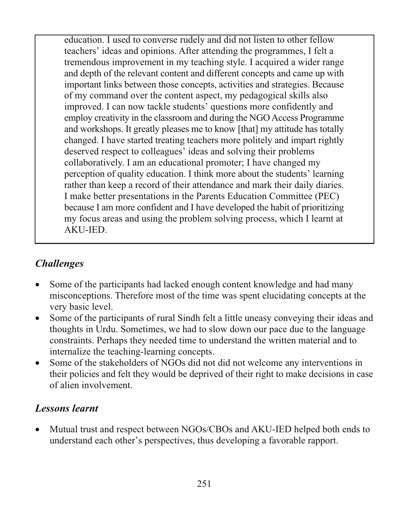education. I used to converse rudely and did not listen to other fellow teachers' ideas and opinions. After attending the programmes, I felt a tremendous improvement in my teaching style. I acquired a wider range and depth of the relevant content and different concepts and came up with important links between those concepts, activities and strategies. Because of my command over the content aspect, my pedagogical skills also improved. I can now tackle students' questions more confidently and employ creativity in the classroom and during the NGO Access Programme and workshops. It greatly pleases me to know [that] my attitude has totally changed. I have started treating teachers more politely and impart rightly deserved respect to colleagues' ideas and solving their problems collaboratively. I am an educational promoter; I have changed my perception of quality education. I think more about the students' learning rather than keep a record of their attendance and mark their daily diaries. I make better presentations in the Parents Education Committee (PEC) because I am more confident and I have developed the habit of prioritizing my focus areas and using the problem solving process, which I learnt at AKU-IED.

## **Challenges**

- Some of the participants had lacked enough content knowledge and had many misconceptions. Therefore most of the time was spent elucidating concepts at the very basic level.
- Some of the participants of rural Sindh felt a little uneasy conveying their ideas and  $\bullet$ thoughts in Urdu. Sometimes, we had to slow down our pace due to the language constraints. Perhaps they needed time to understand the written material and to internalize the teaching-learning concepts.
- Some of the stakeholders of NGOs did not did not welcome any interventions in  $\bullet$ their policies and felt they would be deprived of their right to make decisions in case of alien involvement.

## **Lessons** learnt

Mutual trust and respect between NGOs/CBOs and AKU-IED helped both ends to  $\bullet$ understand each other's perspectives, thus developing a favorable rapport.